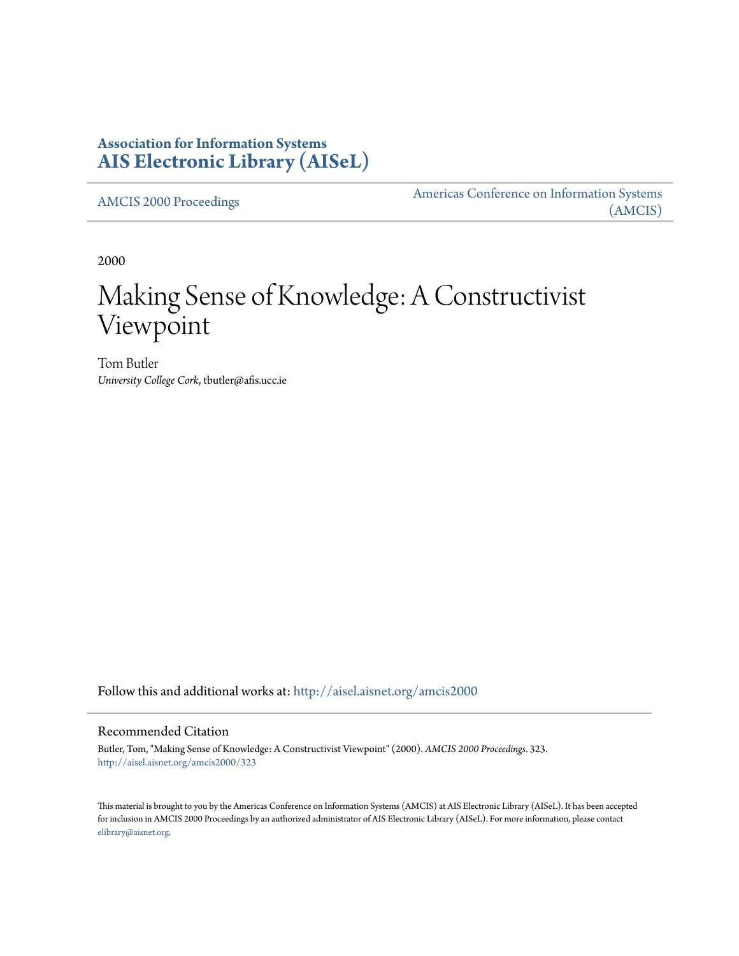# **Association for Information Systems [AIS Electronic Library \(AISeL\)](http://aisel.aisnet.org?utm_source=aisel.aisnet.org%2Famcis2000%2F323&utm_medium=PDF&utm_campaign=PDFCoverPages)**

[AMCIS 2000 Proceedings](http://aisel.aisnet.org/amcis2000?utm_source=aisel.aisnet.org%2Famcis2000%2F323&utm_medium=PDF&utm_campaign=PDFCoverPages)

[Americas Conference on Information Systems](http://aisel.aisnet.org/amcis?utm_source=aisel.aisnet.org%2Famcis2000%2F323&utm_medium=PDF&utm_campaign=PDFCoverPages) [\(AMCIS\)](http://aisel.aisnet.org/amcis?utm_source=aisel.aisnet.org%2Famcis2000%2F323&utm_medium=PDF&utm_campaign=PDFCoverPages)

2000

# Making Sense of Knowledge: A Constructivist Viewpoint

Tom Butler *University College Cork*, tbutler@afis.ucc.ie

Follow this and additional works at: [http://aisel.aisnet.org/amcis2000](http://aisel.aisnet.org/amcis2000?utm_source=aisel.aisnet.org%2Famcis2000%2F323&utm_medium=PDF&utm_campaign=PDFCoverPages)

#### Recommended Citation

Butler, Tom, "Making Sense of Knowledge: A Constructivist Viewpoint" (2000). *AMCIS 2000 Proceedings*. 323. [http://aisel.aisnet.org/amcis2000/323](http://aisel.aisnet.org/amcis2000/323?utm_source=aisel.aisnet.org%2Famcis2000%2F323&utm_medium=PDF&utm_campaign=PDFCoverPages)

This material is brought to you by the Americas Conference on Information Systems (AMCIS) at AIS Electronic Library (AISeL). It has been accepted for inclusion in AMCIS 2000 Proceedings by an authorized administrator of AIS Electronic Library (AISeL). For more information, please contact [elibrary@aisnet.org.](mailto:elibrary@aisnet.org%3E)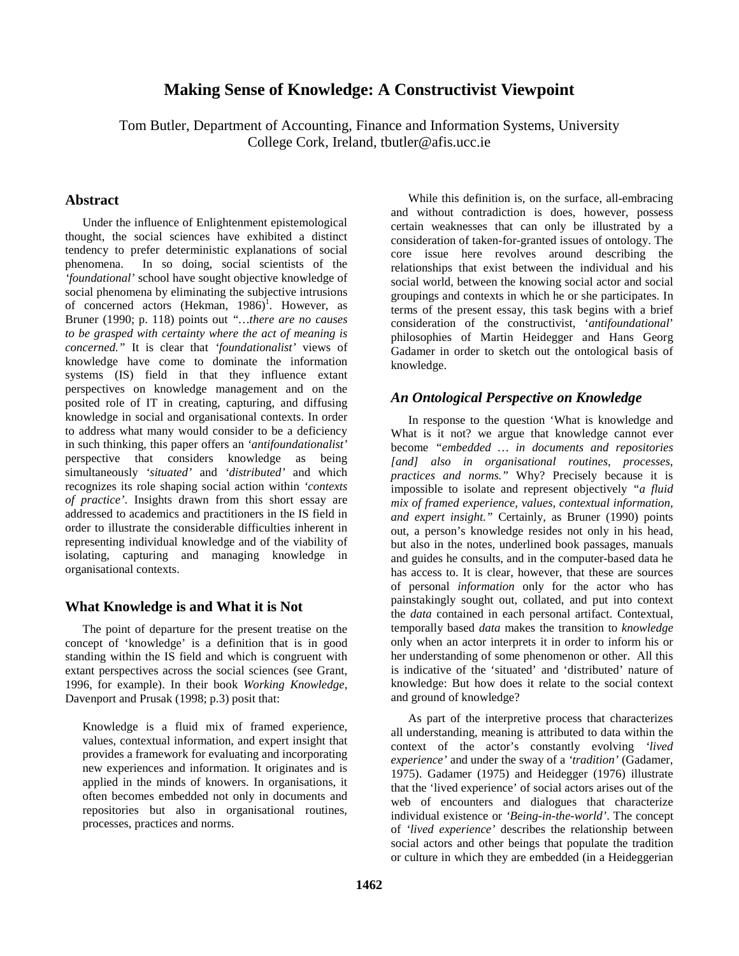## **Making Sense of Knowledge: A Constructivist Viewpoint**

Tom Butler, Department of Accounting, Finance and Information Systems, University College Cork, Ireland, tbutler@afis.ucc.ie

#### **Abstract**

 Under the influence of Enlightenment epistemological thought, the social sciences have exhibited a distinct tendency to prefer deterministic explanations of social phenomena. In so doing, social scientists of the *'foundational'* school have sought objective knowledge of social phenomena by eliminating the subjective intrusions of concerned actors  $(Hekman, 1986)^T$ . However, as Bruner (1990; p. 118) points out *"…there are no causes to be grasped with certainty where the act of meaning is concerned."* It is clear that *'foundationalist'* views of knowledge have come to dominate the information systems (IS) field in that they influence extant perspectives on knowledge management and on the posited role of IT in creating, capturing, and diffusing knowledge in social and organisational contexts. In order to address what many would consider to be a deficiency in such thinking, this paper offers an *'antifoundationalist'* perspective that considers knowledge as being simultaneously *'situated'* and *'distributed'* and which recognizes its role shaping social action within *'contexts of practice'*. Insights drawn from this short essay are addressed to academics and practitioners in the IS field in order to illustrate the considerable difficulties inherent in representing individual knowledge and of the viability of isolating, capturing and managing knowledge in organisational contexts.

#### **What Knowledge is and What it is Not**

 The point of departure for the present treatise on the concept of 'knowledge' is a definition that is in good standing within the IS field and which is congruent with extant perspectives across the social sciences (see Grant, 1996, for example). In their book *Working Knowledge,* Davenport and Prusak (1998; p.3) posit that:

Knowledge is a fluid mix of framed experience, values, contextual information, and expert insight that provides a framework for evaluating and incorporating new experiences and information. It originates and is applied in the minds of knowers. In organisations, it often becomes embedded not only in documents and repositories but also in organisational routines, processes, practices and norms.

 While this definition is, on the surface, all-embracing and without contradiction is does, however, possess certain weaknesses that can only be illustrated by a consideration of taken-for-granted issues of ontology. The core issue here revolves around describing the relationships that exist between the individual and his social world, between the knowing social actor and social groupings and contexts in which he or she participates. In terms of the present essay, this task begins with a brief consideration of the constructivist, '*antifoundational*' philosophies of Martin Heidegger and Hans Georg Gadamer in order to sketch out the ontological basis of knowledge.

#### *An Ontological Perspective on Knowledge*

 In response to the question 'What is knowledge and What is it not? we argue that knowledge cannot ever become *"embedded … in documents and repositories [and] also in organisational routines, processes, practices and norms."* Why? Precisely because it is impossible to isolate and represent objectively *"a fluid mix of framed experience, values, contextual information, and expert insight."* Certainly, as Bruner (1990) points out, a person's knowledge resides not only in his head, but also in the notes, underlined book passages, manuals and guides he consults, and in the computer-based data he has access to. It is clear, however, that these are sources of personal *information* only for the actor who has painstakingly sought out, collated, and put into context the *data* contained in each personal artifact. Contextual, temporally based *data* makes the transition to *knowledge* only when an actor interprets it in order to inform his or her understanding of some phenomenon or other. All this is indicative of the 'situated' and 'distributed' nature of knowledge: But how does it relate to the social context and ground of knowledge?

 As part of the interpretive process that characterizes all understanding, meaning is attributed to data within the context of the actor's constantly evolving *'lived experience'* and under the sway of a *'tradition'* (Gadamer, 1975). Gadamer (1975) and Heidegger (1976) illustrate that the 'lived experience' of social actors arises out of the web of encounters and dialogues that characterize individual existence or *'Being-in-the-world'*. The concept of *'lived experience'* describes the relationship between social actors and other beings that populate the tradition or culture in which they are embedded (in a Heideggerian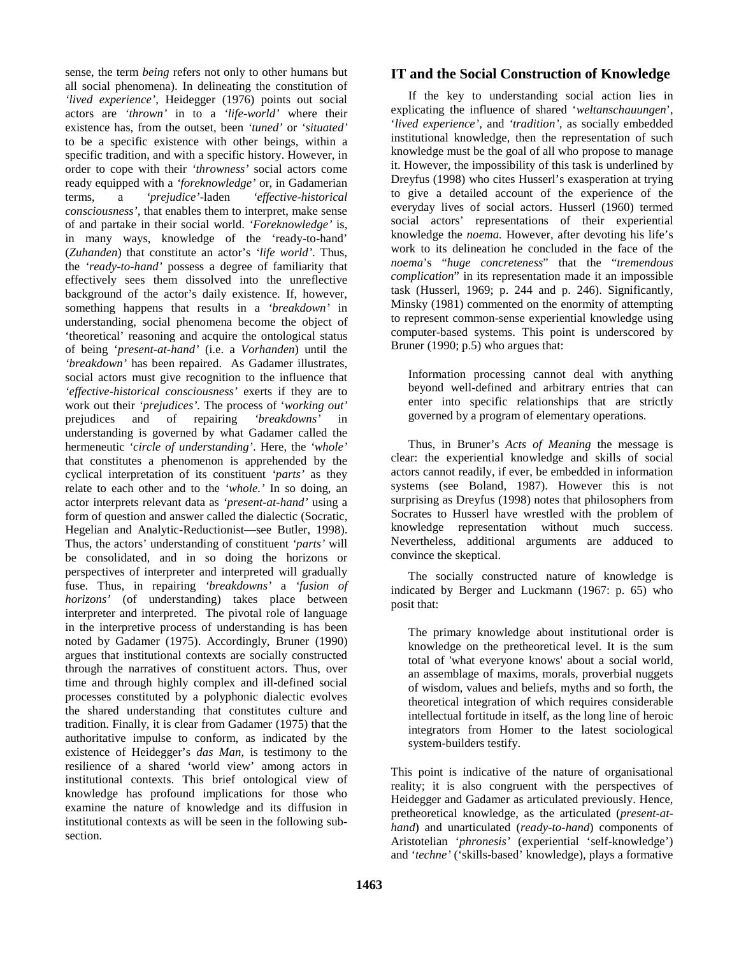sense, the term *being* refers not only to other humans but all social phenomena). In delineating the constitution of *'lived experience'*, Heidegger (1976) points out social actors are *'thrown'* in to a *'life-world'* where their existence has, from the outset, been *'tuned'* or *'situated'* to be a specific existence with other beings, within a specific tradition, and with a specific history. However, in order to cope with their *'throwness'* social actors come ready equipped with a *'foreknowledge'* or, in Gadamerian terms, a *'prejudice'*-laden *'effective-historical consciousness',* that enables them to interpret, make sense of and partake in their social world. *'Foreknowledge'* is, in many ways, knowledge of the 'ready-to-hand' (*Zuhanden*) that constitute an actor's *'life world'*. Thus, the *'ready-to-hand'* possess a degree of familiarity that effectively sees them dissolved into the unreflective background of the actor's daily existence. If, however, something happens that results in a *'breakdown'* in understanding, social phenomena become the object of 'theoretical' reasoning and acquire the ontological status of being '*present-at-hand'* (i.e. a *Vorhanden*) until the *'breakdown'* has been repaired. As Gadamer illustrates, social actors must give recognition to the influence that *'effective-historical consciousness'* exerts if they are to work out their *'prejudices'.* The process of '*working out'* prejudices and of repairing *'breakdowns'* in understanding is governed by what Gadamer called the hermeneutic *'circle of understanding'*. Here, the *'whole'* that constitutes a phenomenon is apprehended by the cyclical interpretation of its constituent *'parts'* as they relate to each other and to the *'whole.'* In so doing, an actor interprets relevant data as *'present-at-hand'* using a form of question and answer called the dialectic (Socratic, Hegelian and Analytic-Reductionist—see Butler, 1998). Thus, the actors' understanding of constituent *'parts'* will be consolidated, and in so doing the horizons or perspectives of interpreter and interpreted will gradually fuse. Thus, in repairing *'breakdowns'* a *'fusion of horizons'* (of understanding) takes place between interpreter and interpreted. The pivotal role of language in the interpretive process of understanding is has been noted by Gadamer (1975). Accordingly, Bruner (1990) argues that institutional contexts are socially constructed through the narratives of constituent actors. Thus, over time and through highly complex and ill-defined social processes constituted by a polyphonic dialectic evolves the shared understanding that constitutes culture and tradition. Finally, it is clear from Gadamer (1975) that the authoritative impulse to conform, as indicated by the existence of Heidegger's *das Man,* is testimony to the resilience of a shared 'world view' among actors in institutional contexts. This brief ontological view of knowledge has profound implications for those who examine the nature of knowledge and its diffusion in institutional contexts as will be seen in the following subsection.

### **IT and the Social Construction of Knowledge**

 If the key to understanding social action lies in explicating the influence of shared '*weltanschauungen*', '*lived experience'*, and *'tradition',* as socially embedded institutional knowledge, then the representation of such knowledge must be the goal of all who propose to manage it. However, the impossibility of this task is underlined by Dreyfus (1998) who cites Husserl's exasperation at trying to give a detailed account of the experience of the everyday lives of social actors. Husserl (1960) termed social actors' representations of their experiential knowledge the *noema.* However, after devoting his life's work to its delineation he concluded in the face of the *noema*'s "*huge concreteness*" that the "*tremendous complication*" in its representation made it an impossible task (Husserl, 1969; p. 244 and p. 246). Significantly, Minsky (1981) commented on the enormity of attempting to represent common-sense experiential knowledge using computer-based systems. This point is underscored by Bruner (1990; p.5) who argues that:

Information processing cannot deal with anything beyond well-defined and arbitrary entries that can enter into specific relationships that are strictly governed by a program of elementary operations.

 Thus, in Bruner's *Acts of Meaning* the message is clear: the experiential knowledge and skills of social actors cannot readily, if ever, be embedded in information systems (see Boland, 1987). However this is not surprising as Dreyfus (1998) notes that philosophers from Socrates to Husserl have wrestled with the problem of knowledge representation without much success. Nevertheless, additional arguments are adduced to convince the skeptical.

 The socially constructed nature of knowledge is indicated by Berger and Luckmann (1967: p. 65) who posit that:

The primary knowledge about institutional order is knowledge on the pretheoretical level. It is the sum total of 'what everyone knows' about a social world, an assemblage of maxims, morals, proverbial nuggets of wisdom, values and beliefs, myths and so forth, the theoretical integration of which requires considerable intellectual fortitude in itself, as the long line of heroic integrators from Homer to the latest sociological system-builders testify.

This point is indicative of the nature of organisational reality; it is also congruent with the perspectives of Heidegger and Gadamer as articulated previously. Hence, pretheoretical knowledge, as the articulated (*present-athand*) and unarticulated (*ready-to-hand*) components of Aristotelian '*phronesis'* (experiential 'self-knowledge') and '*techne'* ('skills-based' knowledge), plays a formative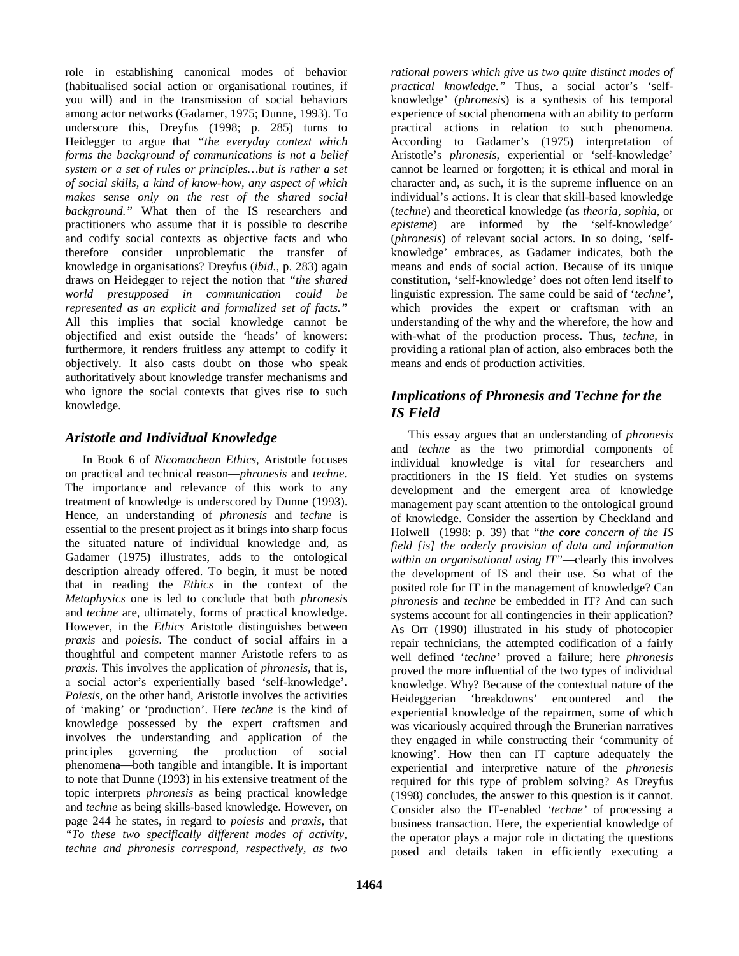role in establishing canonical modes of behavior (habitualised social action or organisational routines, if you will) and in the transmission of social behaviors among actor networks (Gadamer, 1975; Dunne, 1993). To underscore this, Dreyfus (1998; p. 285) turns to Heidegger to argue that *"the everyday context which forms the background of communications is not a belief system or a set of rules or principles…but is rather a set of social skills, a kind of know-how, any aspect of which makes sense only on the rest of the shared social background."* What then of the IS researchers and practitioners who assume that it is possible to describe and codify social contexts as objective facts and who therefore consider unproblematic the transfer of knowledge in organisations? Dreyfus (*ibid.,* p. 283) again draws on Heidegger to reject the notion that *"the shared world presupposed in communication could be represented as an explicit and formalized set of facts."* All this implies that social knowledge cannot be objectified and exist outside the 'heads' of knowers: furthermore, it renders fruitless any attempt to codify it objectively. It also casts doubt on those who speak authoritatively about knowledge transfer mechanisms and who ignore the social contexts that gives rise to such knowledge.

## *Aristotle and Individual Knowledge*

 In Book 6 of *Nicomachean Ethics*, Aristotle focuses on practical and technical reason—*phronesis* and *techne.* The importance and relevance of this work to any treatment of knowledge is underscored by Dunne (1993). Hence, an understanding of *phronesis* and *techne* is essential to the present project as it brings into sharp focus the situated nature of individual knowledge and, as Gadamer (1975) illustrates, adds to the ontological description already offered. To begin, it must be noted that in reading the *Ethics* in the context of the *Metaphysics* one is led to conclude that both *phronesis* and *techne* are, ultimately, forms of practical knowledge. However, in the *Ethics* Aristotle distinguishes between *praxis* and *poiesis*. The conduct of social affairs in a thoughtful and competent manner Aristotle refers to as *praxis.* This involves the application of *phronesis,* that is, a social actor's experientially based 'self-knowledge'. *Poiesis*, on the other hand, Aristotle involves the activities of 'making' or 'production'. Here *techne* is the kind of knowledge possessed by the expert craftsmen and involves the understanding and application of the principles governing the production of social phenomena—both tangible and intangible. It is important to note that Dunne (1993) in his extensive treatment of the topic interprets *phronesis* as being practical knowledge and *techne* as being skills-based knowledge. However, on page 244 he states, in regard to *poiesis* and *praxis*, that *"To these two specifically different modes of activity, techne and phronesis correspond, respectively, as two* 

*rational powers which give us two quite distinct modes of practical knowledge."* Thus, a social actor's 'selfknowledge' (*phronesis*) is a synthesis of his temporal experience of social phenomena with an ability to perform practical actions in relation to such phenomena. According to Gadamer's (1975) interpretation of Aristotle's *phronesis,* experiential or 'self-knowledge' cannot be learned or forgotten; it is ethical and moral in character and, as such, it is the supreme influence on an individual's actions. It is clear that skill-based knowledge (*techne*) and theoretical knowledge (as *theoria, sophia,* or *episteme*) are informed by the 'self-knowledge' (*phronesis*) of relevant social actors. In so doing, 'selfknowledge' embraces, as Gadamer indicates, both the means and ends of social action. Because of its unique constitution, 'self-knowledge' does not often lend itself to linguistic expression. The same could be said of '*techne',* which provides the expert or craftsman with an understanding of the why and the wherefore, the how and with-what of the production process. Thus, *techne,* in providing a rational plan of action, also embraces both the means and ends of production activities.

## *Implications of Phronesis and Techne for the IS Field*

 This essay argues that an understanding of *phronesis* and *techne* as the two primordial components of individual knowledge is vital for researchers and practitioners in the IS field. Yet studies on systems development and the emergent area of knowledge management pay scant attention to the ontological ground of knowledge. Consider the assertion by Checkland and Holwell (1998: p. 39) that "*the core concern of the IS field [is] the orderly provision of data and information within an organisational using IT"*—clearly this involves the development of IS and their use. So what of the posited role for IT in the management of knowledge? Can *phronesis* and *techne* be embedded in IT? And can such systems account for all contingencies in their application? As Orr (1990) illustrated in his study of photocopier repair technicians, the attempted codification of a fairly well defined '*techne'* proved a failure; here *phronesis* proved the more influential of the two types of individual knowledge. Why? Because of the contextual nature of the Heideggerian 'breakdowns' encountered and the experiential knowledge of the repairmen, some of which was vicariously acquired through the Brunerian narratives they engaged in while constructing their 'community of knowing'. How then can IT capture adequately the experiential and interpretive nature of the *phronesis* required for this type of problem solving? As Dreyfus (1998) concludes, the answer to this question is it cannot. Consider also the IT-enabled '*techne'* of processing a business transaction. Here, the experiential knowledge of the operator plays a major role in dictating the questions posed and details taken in efficiently executing a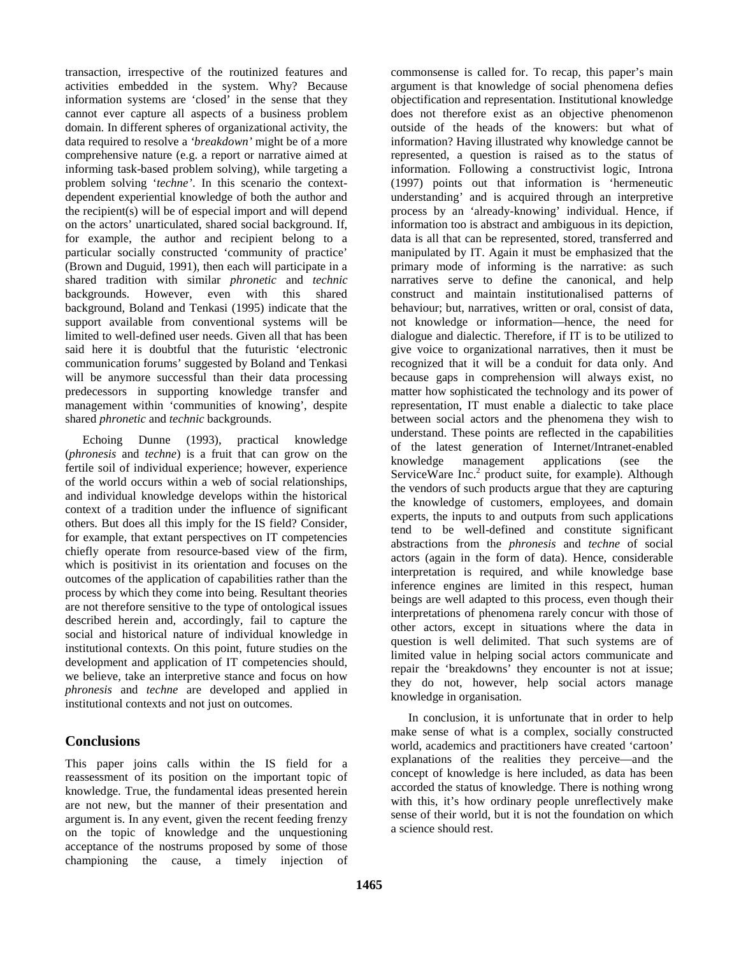transaction, irrespective of the routinized features and activities embedded in the system. Why? Because information systems are 'closed' in the sense that they cannot ever capture all aspects of a business problem domain. In different spheres of organizational activity, the data required to resolve a *'breakdown'* might be of a more comprehensive nature (e.g. a report or narrative aimed at informing task-based problem solving), while targeting a problem solving '*techne'*. In this scenario the contextdependent experiential knowledge of both the author and the recipient(s) will be of especial import and will depend on the actors' unarticulated, shared social background. If, for example, the author and recipient belong to a particular socially constructed 'community of practice' (Brown and Duguid, 1991), then each will participate in a shared tradition with similar *phronetic* and *technic* backgrounds. However, even with this shared background, Boland and Tenkasi (1995) indicate that the support available from conventional systems will be limited to well-defined user needs. Given all that has been said here it is doubtful that the futuristic 'electronic communication forums' suggested by Boland and Tenkasi will be anymore successful than their data processing predecessors in supporting knowledge transfer and management within 'communities of knowing', despite shared *phronetic* and *technic* backgrounds.

 Echoing Dunne (1993), practical knowledge (*phronesis* and *techne*) is a fruit that can grow on the fertile soil of individual experience; however, experience of the world occurs within a web of social relationships, and individual knowledge develops within the historical context of a tradition under the influence of significant others. But does all this imply for the IS field? Consider, for example, that extant perspectives on IT competencies chiefly operate from resource-based view of the firm, which is positivist in its orientation and focuses on the outcomes of the application of capabilities rather than the process by which they come into being. Resultant theories are not therefore sensitive to the type of ontological issues described herein and, accordingly, fail to capture the social and historical nature of individual knowledge in institutional contexts. On this point, future studies on the development and application of IT competencies should, we believe, take an interpretive stance and focus on how *phronesis* and *techne* are developed and applied in institutional contexts and not just on outcomes.

## **Conclusions**

This paper joins calls within the IS field for a reassessment of its position on the important topic of knowledge. True, the fundamental ideas presented herein are not new, but the manner of their presentation and argument is. In any event, given the recent feeding frenzy on the topic of knowledge and the unquestioning acceptance of the nostrums proposed by some of those championing the cause, a timely injection of commonsense is called for. To recap, this paper's main argument is that knowledge of social phenomena defies objectification and representation. Institutional knowledge does not therefore exist as an objective phenomenon outside of the heads of the knowers: but what of information? Having illustrated why knowledge cannot be represented, a question is raised as to the status of information. Following a constructivist logic, Introna (1997) points out that information is 'hermeneutic understanding' and is acquired through an interpretive process by an 'already-knowing' individual. Hence, if information too is abstract and ambiguous in its depiction, data is all that can be represented, stored, transferred and manipulated by IT. Again it must be emphasized that the primary mode of informing is the narrative: as such narratives serve to define the canonical, and help construct and maintain institutionalised patterns of behaviour; but, narratives, written or oral, consist of data, not knowledge or information—hence, the need for dialogue and dialectic. Therefore, if IT is to be utilized to give voice to organizational narratives, then it must be recognized that it will be a conduit for data only. And because gaps in comprehension will always exist, no matter how sophisticated the technology and its power of representation, IT must enable a dialectic to take place between social actors and the phenomena they wish to understand. These points are reflected in the capabilities of the latest generation of Internet/Intranet-enabled knowledge management applications (see the ServiceWare Inc.<sup>2</sup> product suite, for example). Although the vendors of such products argue that they are capturing the knowledge of customers, employees, and domain experts, the inputs to and outputs from such applications tend to be well-defined and constitute significant abstractions from the *phronesis* and *techne* of social actors (again in the form of data). Hence, considerable interpretation is required, and while knowledge base inference engines are limited in this respect, human beings are well adapted to this process, even though their interpretations of phenomena rarely concur with those of other actors, except in situations where the data in question is well delimited. That such systems are of limited value in helping social actors communicate and repair the 'breakdowns' they encounter is not at issue; they do not, however, help social actors manage knowledge in organisation.

 In conclusion, it is unfortunate that in order to help make sense of what is a complex, socially constructed world, academics and practitioners have created 'cartoon' explanations of the realities they perceive—and the concept of knowledge is here included, as data has been accorded the status of knowledge. There is nothing wrong with this, it's how ordinary people unreflectively make sense of their world, but it is not the foundation on which a science should rest.